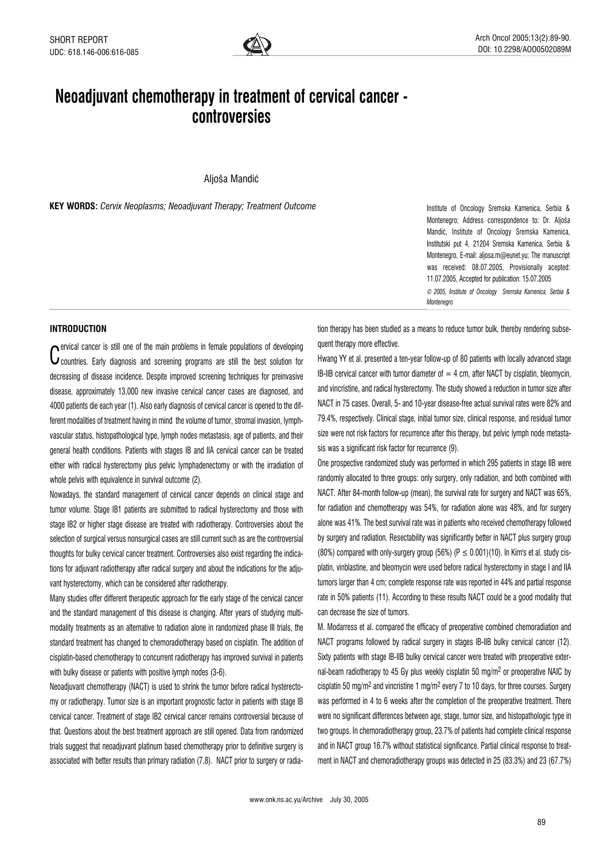## Neoadjuvant chemotherapy in treatment of cervical cancer controversies

Aljoša Mandić

KEY WORDS: Cervix Neoplasms; Neoadjuvant Therapy; Treatment Outcome Institute of Oncology Sremska Kamenica, Serbia &

Montenegro; Address correspondence to: Dr. Aljoša Mandić, Institute of Oncology Sremska Kamenica, Institutski put 4, 21204 Sremska Kamenica, Serbia & Montenegro, E-mail: aljosa.m@eunet.yu; The manuscript was received: 08.07.2005, Provisionally acepted: 11.07.2005, Accepted for publication: 15.07.2005 © 2005, Institute of Oncology Sremska Kamenica, Serbia & Montenegro

## INTRODUCTION

C countries. Early diagnosis and screening programs are still the best solution for  $\bullet$  ervical cancer is still one of the main problems in female populations of developing decreasing of disease incidence. Despite improved screening techniques for preinvasive disease, approximately 13,000 new invasive cervical cancer cases are diagnosed, and 4000 patients die each year (1). Also early diagnosis of cervical cancer is opened to the different modalities of treatment having in mind the volume of tumor, stromal invasion, lymphvascular status, histopathological type, lymph nodes metastasis, age of patients, and their general health conditions. Patients with stages IB and IIA cervical cancer can be treated either with radical hysterectomy plus pelvic lymphadenectomy or with the irradiation of whole pelvis with equivalence in survival outcome (2).

Nowadays, the standard management of cervical cancer depends on clinical stage and tumor volume. Stage IB1 patients are submitted to radical hysterectomy and those with stage IB2 or higher stage disease are treated with radiotherapy. Controversies about the selection of surgical versus nonsurgical cases are still current such as are the controversial thoughts for bulky cervical cancer treatment. Controversies also exist regarding the indications for adjuvant radiotherapy after radical surgery and about the indications for the adjuvant hysterectomy, which can be considered after radiotherapy.

Many studies offer different therapeutic approach for the early stage of the cervical cancer and the standard management of this disease is changing. After years of studying multimodality treatments as an alternative to radiation alone in randomized phase III trials, the standard treatment has changed to chemoradiotherapy based on cisplatin. The addition of cisplatin-based chemotherapy to concurrent radiotherapy has improved survival in patients with bulky disease or patients with positive lymph nodes (3-6).

Neoadjuvant chemotherapy (NACT) is used to shrink the tumor before radical hysterectomy or radiotherapy. Tumor size is an important prognostic factor in patients with stage IB cervical cancer. Treatment of stage IB2 cervical cancer remains controversial because of that. Questions about the best treatment approach are still opened. Data from randomized trials suggest that neoadjuvant platinum based chemotherapy prior to definitive surgery is associated with better results than primary radiation (7,8). NACT prior to surgery or radiation therapy has been studied as a means to reduce tumor bulk, thereby rendering subsequent therapy more effective.

Hwang YY et al. presented a ten-year follow-up of 80 patients with locally advanced stage IB-IIB cervical cancer with tumor diameter of  $=$  4 cm, after NACT by cisplatin, bleomycin, and vincristine, and radical hysterectomy. The study showed a reduction in tumor size after NACT in 75 cases. Overall, 5- and 10-year disease-free actual survival rates were 82% and 79.4%, respectively. Clinical stage, initial tumor size, clinical response, and residual tumor size were not risk factors for recurrence after this therapy, but pelvic lymph node metastasis was a significant risk factor for recurrence (9).

One prospective randomized study was performed in which 295 patients in stage IIB were randomly allocated to three groups: only surgery, only radiation, and both combined with NACT. After 84-month follow-up (mean), the survival rate for surgery and NACT was 65%, for radiation and chemotherapy was 54%, for radiation alone was 48%, and for surgery alone was 41%. The best survival rate was in patients who received chemotherapy followed by surgery and radiation. Resectability was significantly better in NACT plus surgery group (80%) compared with only-surgery group (56%) ( $P \le 0.001$ )(10). In Kim's et al. study cisplatin, vinblastine, and bleomycin were used before radical hysterectomy in stage I and IIA tumors larger than 4 cm; complete response rate was reported in 44% and partial response rate in 50% patients (11). According to these results NACT could be a good modality that can decrease the size of tumors.

M. Modarress et al. compared the efficacy of preoperative combined chemoradiation and NACT programs followed by radical surgery in stages IB-IIB bulky cervical cancer (12). Sixty patients with stage IB-IIB bulky cervical cancer were treated with preoperative external-beam radiotherapy to 45 Gy plus weekly cisplatin 50 mg/m2 or preoperative NAIC by cisplatin 50 mg/m<sup>2</sup> and vincristine 1 mg/m<sup>2</sup> every 7 to 10 days, for three courses. Surgery was performed in 4 to 6 weeks after the completion of the preoperative treatment. There were no significant differences between age, stage, tumor size, and histopathologic type in two groups. In chemoradiotherapy group, 23.7% of patients had complete clinical response and in NACT group 16.7% without statistical significance. Partial clinical response to treatment in NACT and chemoradiotherapy groups was detected in 25 (83.3%) and 23 (67.7%)